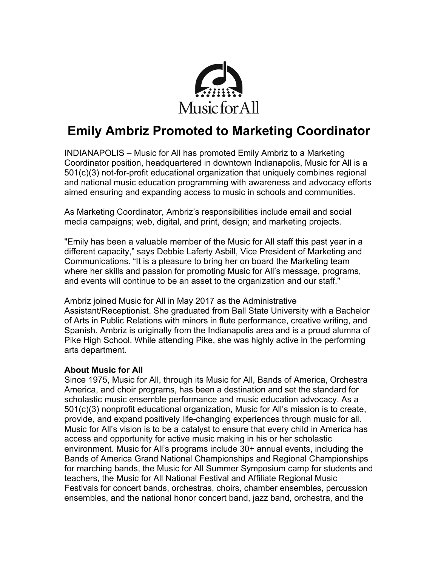

# **Emily Ambriz Promoted to Marketing Coordinator**

INDIANAPOLIS – Music for All has promoted Emily Ambriz to a Marketing Coordinator position, headquartered in downtown Indianapolis, Music for All is a 501(c)(3) not-for-profit educational organization that uniquely combines regional and national music education programming with awareness and advocacy efforts aimed ensuring and expanding access to music in schools and communities.

As Marketing Coordinator, Ambriz's responsibilities include email and social media campaigns; web, digital, and print, design; and marketing projects.

"Emily has been a valuable member of the Music for All staff this past year in a different capacity," says Debbie Laferty Asbill, Vice President of Marketing and Communications. "It is a pleasure to bring her on board the Marketing team where her skills and passion for promoting Music for All's message, programs, and events will continue to be an asset to the organization and our staff."

Ambriz joined Music for All in May 2017 as the Administrative Assistant/Receptionist. She graduated from Ball State University with a Bachelor of Arts in Public Relations with minors in flute performance, creative writing, and Spanish. Ambriz is originally from the Indianapolis area and is a proud alumna of Pike High School. While attending Pike, she was highly active in the performing arts department.

# **About Music for All**

Since 1975, Music for All, through its Music for All, Bands of America, Orchestra America, and choir programs, has been a destination and set the standard for scholastic music ensemble performance and music education advocacy. As a 501(c)(3) nonprofit educational organization, Music for All's mission is to create, provide, and expand positively life-changing experiences through music for all. Music for All's vision is to be a catalyst to ensure that every child in America has access and opportunity for active music making in his or her scholastic environment. Music for All's programs include 30+ annual events, including the Bands of America Grand National Championships and Regional Championships for marching bands, the Music for All Summer Symposium camp for students and teachers, the Music for All National Festival and Affiliate Regional Music Festivals for concert bands, orchestras, choirs, chamber ensembles, percussion ensembles, and the national honor concert band, jazz band, orchestra, and the